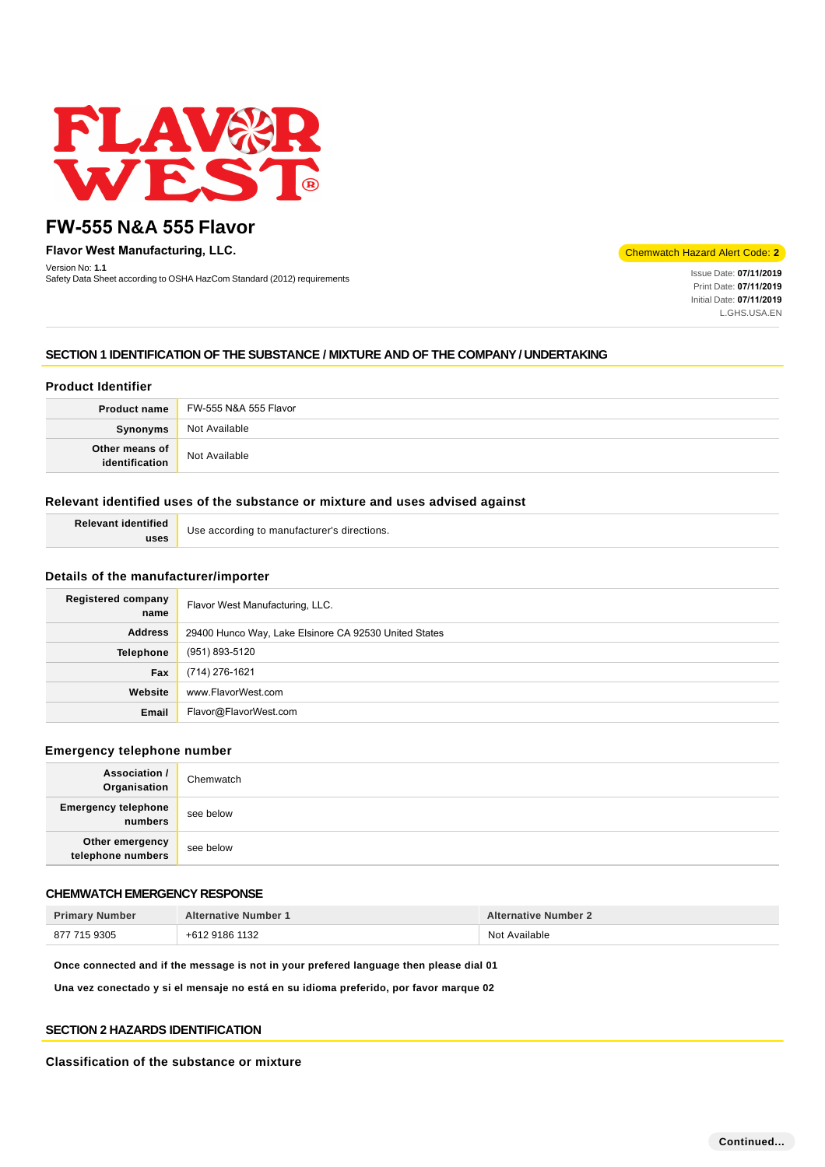

**Flavor West Manufacturing, LLC.**

Version No: **1.1** Safety Data Sheet according to OSHA HazCom Standard (2012) requirements Inc. **Inc. Issue Data Sheet according to OSHA HazCom Standard (2012) requirements Inc. <b>Inc. Community** Community Data Sheet according to OSHA Haz

Chemwatch Hazard Alert Code: **2**

Print Date: **07/11/2019**  Initial Date: **07/11/2019**  L.GHS.USA.EN

# **SECTION 1 IDENTIFICATION OF THE SUBSTANCE / MIXTURE AND OF THE COMPANY / UNDERTAKING**

# **Product Identifier**

| <b>Product name</b>              | FW-555 N&A 555 Flavor |
|----------------------------------|-----------------------|
| Synonyms                         | Not Available         |
| Other means of<br>identification | Not Available         |

### **Relevant identified uses of the substance or mixture and uses advised against**

| <b>Relevant identified</b> | Use according to manufacturer's directions. |
|----------------------------|---------------------------------------------|
| uses                       |                                             |

### **Details of the manufacturer/importer**

| <b>Registered company</b><br>name | Flavor West Manufacturing, LLC.                       |  |
|-----------------------------------|-------------------------------------------------------|--|
| <b>Address</b>                    | 29400 Hunco Way, Lake Elsinore CA 92530 United States |  |
| <b>Telephone</b>                  | (951) 893-5120                                        |  |
| Fax                               | (714) 276-1621                                        |  |
| Website                           | www.FlavorWest.com                                    |  |
| Email                             | Flavor@FlavorWest.com                                 |  |

### **Emergency telephone number**

| <b>Association /</b><br>Organisation  | Chemwatch |
|---------------------------------------|-----------|
| <b>Emergency telephone</b><br>numbers | see below |
| Other emergency<br>telephone numbers  | see below |

# **CHEMWATCH EMERGENCY RESPONSE**

| <b>Primary Number</b> | <b>Alternative Number 1</b> | <b>Alternative Number 2</b> |
|-----------------------|-----------------------------|-----------------------------|
| 877 715 9305          | +612 9186 1132              | Not Available               |

**Once connected and if the message is not in your prefered language then please dial 01**

**Una vez conectado y si el mensaje no está en su idioma preferido, por favor marque 02**

### **SECTION 2 HAZARDS IDENTIFICATION**

#### **Classification of the substance or mixture**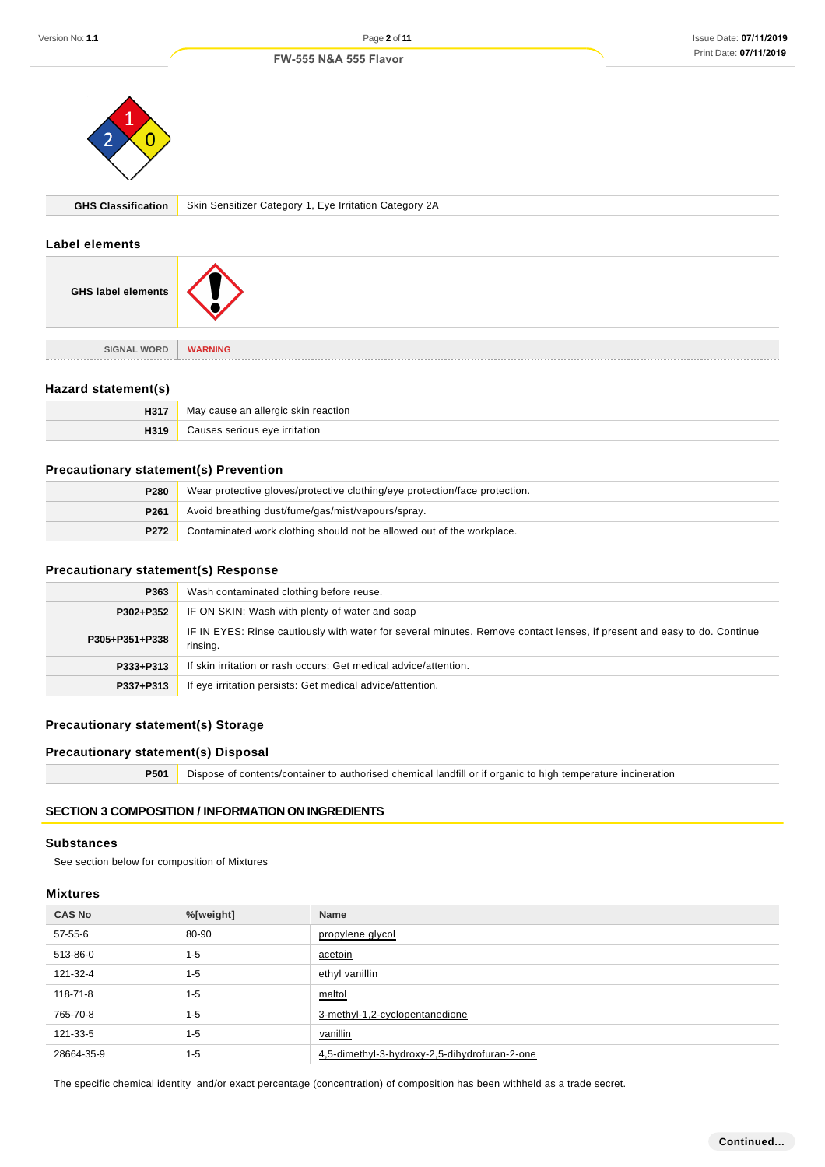#### Issue Date: **07/11/2019**  Print Date: **07/11/2019**

#### **FW-555 N&A 555 Flavor**



**GHS Classification** Skin Sensitizer Category 1, Eye Irritation Category 2A

#### **Label elements**

| <b>GHS label elements</b> |                |
|---------------------------|----------------|
| <b>SIGNAL WORD</b>        | <b>WARNING</b> |
|                           |                |

# **Hazard statement(s)**

| H317 | v cause an allergic skin reaction.<br>May |
|------|-------------------------------------------|
|      | eve irritation                            |

# **Precautionary statement(s) Prevention**

| P280             | Wear protective gloves/protective clothing/eye protection/face protection. |  |
|------------------|----------------------------------------------------------------------------|--|
| P <sub>261</sub> | Avoid breathing dust/fume/gas/mist/vapours/spray.                          |  |
| P272             | Contaminated work clothing should not be allowed out of the workplace.     |  |

### **Precautionary statement(s) Response**

| P363           | Wash contaminated clothing before reuse.                                                                                            |  |
|----------------|-------------------------------------------------------------------------------------------------------------------------------------|--|
| P302+P352      | IF ON SKIN: Wash with plenty of water and soap                                                                                      |  |
| P305+P351+P338 | IF IN EYES: Rinse cautiously with water for several minutes. Remove contact lenses, if present and easy to do. Continue<br>rinsing. |  |
| P333+P313      | If skin irritation or rash occurs: Get medical advice/attention.                                                                    |  |
| P337+P313      | If eye irritation persists: Get medical advice/attention.                                                                           |  |

# **Precautionary statement(s) Storage**

# **Precautionary statement(s) Disposal**

**P501** Dispose of contents/container to authorised chemical landfill or if organic to high temperature incineration

# **SECTION 3 COMPOSITION / INFORMATION ON INGREDIENTS**

#### **Substances**

See section below for composition of Mixtures

#### **Mixtures**

| <b>CAS No</b> | %[weight] | <b>Name</b>                                   |
|---------------|-----------|-----------------------------------------------|
| 57-55-6       | 80-90     | propylene glycol                              |
| 513-86-0      | $1 - 5$   | acetoin                                       |
| 121-32-4      | $1 - 5$   | ethyl vanillin                                |
| 118-71-8      | $1 - 5$   | maltol                                        |
| 765-70-8      | $1 - 5$   | 3-methyl-1,2-cyclopentanedione                |
| 121-33-5      | $1 - 5$   | vanillin                                      |
| 28664-35-9    | $1 - 5$   | 4,5-dimethyl-3-hydroxy-2,5-dihydrofuran-2-one |

The specific chemical identity and/or exact percentage (concentration) of composition has been withheld as a trade secret.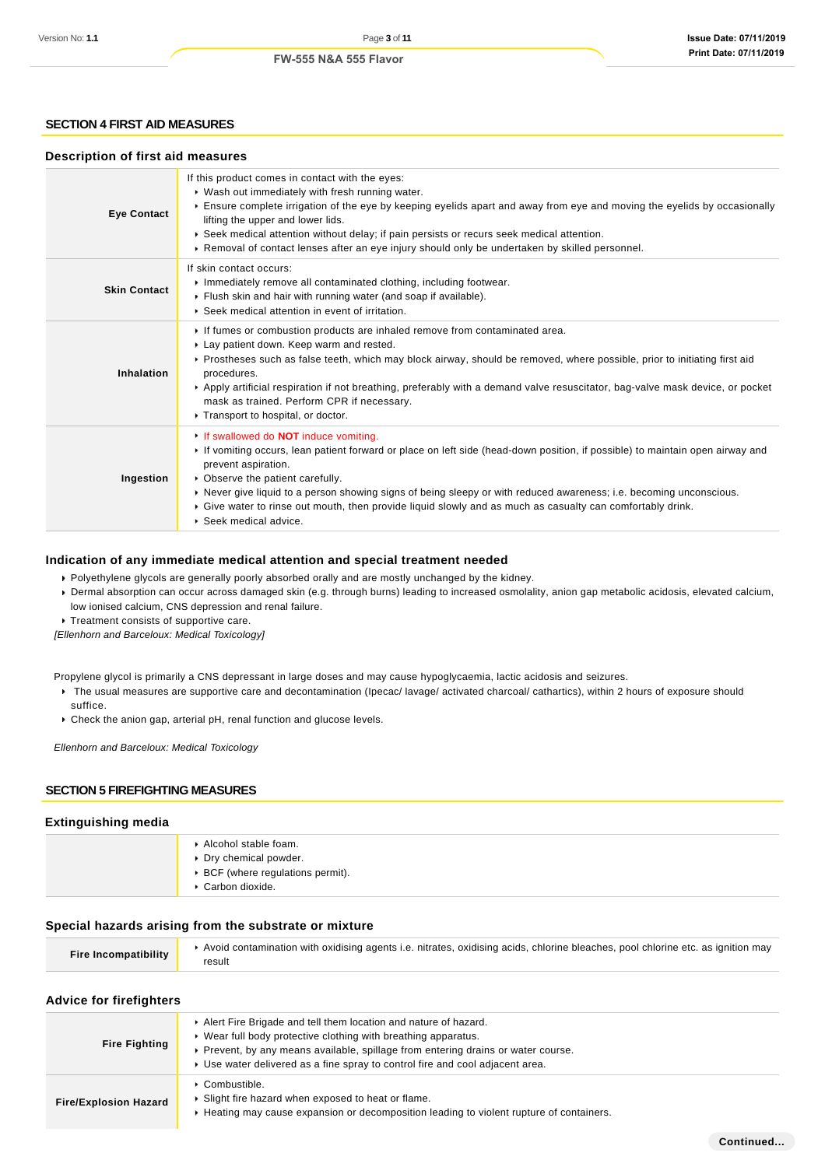### **SECTION 4 FIRST AID MEASURES**

#### **Description of first aid measures**

| <b>Eye Contact</b>  | If this product comes in contact with the eyes:<br>▶ Wash out immediately with fresh running water.<br>Ensure complete irrigation of the eye by keeping eyelids apart and away from eye and moving the eyelids by occasionally<br>lifting the upper and lower lids.<br>▶ Seek medical attention without delay; if pain persists or recurs seek medical attention.<br>▶ Removal of contact lenses after an eye injury should only be undertaken by skilled personnel.                                  |  |  |
|---------------------|-------------------------------------------------------------------------------------------------------------------------------------------------------------------------------------------------------------------------------------------------------------------------------------------------------------------------------------------------------------------------------------------------------------------------------------------------------------------------------------------------------|--|--|
| <b>Skin Contact</b> | If skin contact occurs:<br>Inmediately remove all contaminated clothing, including footwear.<br>Flush skin and hair with running water (and soap if available).<br>▶ Seek medical attention in event of irritation.                                                                                                                                                                                                                                                                                   |  |  |
| Inhalation          | If fumes or combustion products are inhaled remove from contaminated area.<br>Lay patient down. Keep warm and rested.<br>▶ Prostheses such as false teeth, which may block airway, should be removed, where possible, prior to initiating first aid<br>procedures.<br>Apply artificial respiration if not breathing, preferably with a demand valve resuscitator, bag-valve mask device, or pocket<br>mask as trained. Perform CPR if necessary.<br>Transport to hospital, or doctor.                 |  |  |
| Ingestion           | If swallowed do <b>NOT</b> induce vomiting.<br>If vomiting occurs, lean patient forward or place on left side (head-down position, if possible) to maintain open airway and<br>prevent aspiration.<br>• Observe the patient carefully.<br>▶ Never give liquid to a person showing signs of being sleepy or with reduced awareness; i.e. becoming unconscious.<br>► Give water to rinse out mouth, then provide liquid slowly and as much as casualty can comfortably drink.<br>▶ Seek medical advice. |  |  |

#### **Indication of any immediate medical attention and special treatment needed**

Polyethylene glycols are generally poorly absorbed orally and are mostly unchanged by the kidney.

Dermal absorption can occur across damaged skin (e.g. through burns) leading to increased osmolality, anion gap metabolic acidosis, elevated calcium, low ionised calcium, CNS depression and renal failure.

Treatment consists of supportive care.

[Ellenhorn and Barceloux: Medical Toxicology]

- Propylene glycol is primarily a CNS depressant in large doses and may cause hypoglycaemia, lactic acidosis and seizures.
	- ▶ The usual measures are supportive care and decontamination (Ipecac/ lavage/ activated charcoal/ cathartics), within 2 hours of exposure should suffice.
	- Check the anion gap, arterial pH, renal function and glucose levels.

Ellenhorn and Barceloux: Medical Toxicology

### **SECTION 5 FIREFIGHTING MEASURES**

#### **Extinguishing media**

| Alcohol stable foam.<br>Dry chemical powder.<br>▶ BCF (where regulations permit).<br>Carbon dioxide. |
|------------------------------------------------------------------------------------------------------|
|                                                                                                      |

#### **Special hazards arising from the substrate or mixture**

| <b>Fire Incompatibility</b> | Avoid contamination with oxidising agents i.e. nitrates, oxidising acids, chlorine bleaches, pool chlorine etc. as ignition may |
|-----------------------------|---------------------------------------------------------------------------------------------------------------------------------|
|                             | result                                                                                                                          |

#### **Advice for firefighters**

| <b>Fire Fighting</b>         | Alert Fire Brigade and tell them location and nature of hazard.<br>▶ Wear full body protective clothing with breathing apparatus.<br>▶ Prevent, by any means available, spillage from entering drains or water course.<br>► Use water delivered as a fine spray to control fire and cool adjacent area. |
|------------------------------|---------------------------------------------------------------------------------------------------------------------------------------------------------------------------------------------------------------------------------------------------------------------------------------------------------|
| <b>Fire/Explosion Hazard</b> | $\triangleright$ Combustible.<br>• Slight fire hazard when exposed to heat or flame.<br>► Heating may cause expansion or decomposition leading to violent rupture of containers.                                                                                                                        |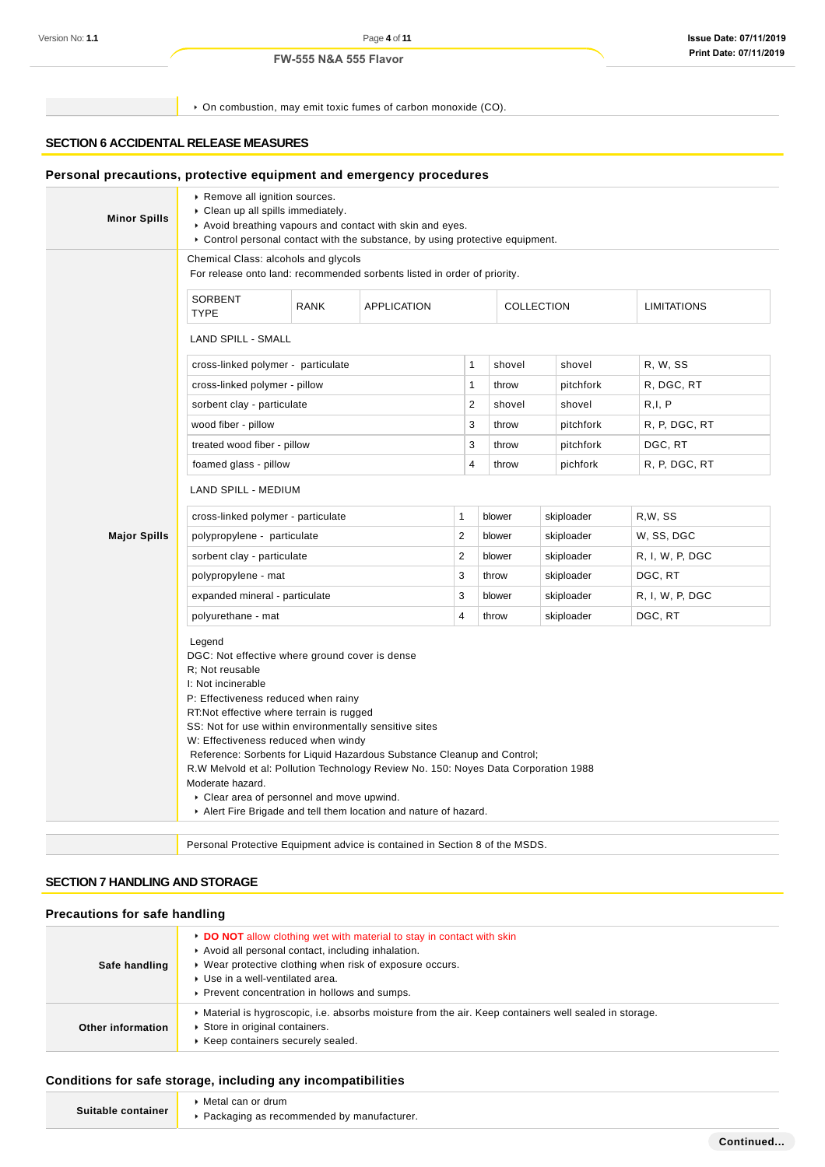On combustion, may emit toxic fumes of carbon monoxide (CO).

# **SECTION 6 ACCIDENTAL RELEASE MEASURES**

| <b>Minor Spills</b> | Remove all ignition sources.<br>Clean up all spills immediately.                                                                                                                                                                                                                                                                                                                                                                                                             |             | Avoid breathing vapours and contact with skin and eyes.<br>► Control personal contact with the substance, by using protective equipment. |                |            |                    |                 |
|---------------------|------------------------------------------------------------------------------------------------------------------------------------------------------------------------------------------------------------------------------------------------------------------------------------------------------------------------------------------------------------------------------------------------------------------------------------------------------------------------------|-------------|------------------------------------------------------------------------------------------------------------------------------------------|----------------|------------|--------------------|-----------------|
|                     | Chemical Class: alcohols and glycols                                                                                                                                                                                                                                                                                                                                                                                                                                         |             | For release onto land: recommended sorbents listed in order of priority.                                                                 |                |            |                    |                 |
|                     | <b>SORBENT</b><br><b>TYPE</b>                                                                                                                                                                                                                                                                                                                                                                                                                                                | <b>RANK</b> | <b>APPLICATION</b><br>COLLECTION                                                                                                         |                |            | <b>LIMITATIONS</b> |                 |
|                     | LAND SPILL - SMALL                                                                                                                                                                                                                                                                                                                                                                                                                                                           |             |                                                                                                                                          |                |            |                    |                 |
|                     | cross-linked polymer - particulate                                                                                                                                                                                                                                                                                                                                                                                                                                           |             |                                                                                                                                          | 1              | shovel     | shovel             | R, W, SS        |
|                     | cross-linked polymer - pillow                                                                                                                                                                                                                                                                                                                                                                                                                                                |             |                                                                                                                                          | 1              | throw      | pitchfork          | R, DGC, RT      |
|                     | sorbent clay - particulate                                                                                                                                                                                                                                                                                                                                                                                                                                                   |             |                                                                                                                                          | $\mathbf{2}$   | shovel     | shovel             | R, I, P         |
|                     | wood fiber - pillow                                                                                                                                                                                                                                                                                                                                                                                                                                                          |             |                                                                                                                                          | 3              | throw      | pitchfork          | R, P, DGC, RT   |
|                     | treated wood fiber - pillow                                                                                                                                                                                                                                                                                                                                                                                                                                                  |             |                                                                                                                                          | 3              | throw      | pitchfork          | DGC, RT         |
|                     | foamed glass - pillow                                                                                                                                                                                                                                                                                                                                                                                                                                                        |             |                                                                                                                                          | 4              | throw      | pichfork           | R, P, DGC, RT   |
|                     | <b>LAND SPILL - MEDIUM</b>                                                                                                                                                                                                                                                                                                                                                                                                                                                   |             |                                                                                                                                          |                |            |                    |                 |
|                     | cross-linked polymer - particulate                                                                                                                                                                                                                                                                                                                                                                                                                                           |             | $\mathbf{1}$                                                                                                                             | blower         | skiploader | R,W, SS            |                 |
| <b>Major Spills</b> | $\overline{2}$<br>polypropylene - particulate                                                                                                                                                                                                                                                                                                                                                                                                                                |             |                                                                                                                                          |                | blower     | skiploader         | W, SS, DGC      |
|                     | sorbent clay - particulate                                                                                                                                                                                                                                                                                                                                                                                                                                                   |             |                                                                                                                                          | $\overline{2}$ | blower     | skiploader         | R, I, W, P, DGC |
|                     | polypropylene - mat                                                                                                                                                                                                                                                                                                                                                                                                                                                          |             |                                                                                                                                          | 3              | throw      | skiploader         | DGC, RT         |
|                     | expanded mineral - particulate                                                                                                                                                                                                                                                                                                                                                                                                                                               |             |                                                                                                                                          | 3              | blower     | skiploader         | R, I, W, P, DGC |
|                     | polyurethane - mat                                                                                                                                                                                                                                                                                                                                                                                                                                                           |             |                                                                                                                                          | $\overline{4}$ | throw      | skiploader         | DGC, RT         |
|                     | Legend<br>DGC: Not effective where ground cover is dense<br>R; Not reusable<br>I: Not incinerable<br>P: Effectiveness reduced when rainy<br>RT: Not effective where terrain is rugged<br>SS: Not for use within environmentally sensitive sites<br>W: Effectiveness reduced when windy<br>Reference: Sorbents for Liquid Hazardous Substance Cleanup and Control;<br>R.W Melvold et al: Pollution Technology Review No. 150: Noyes Data Corporation 1988<br>Moderate hazard. |             |                                                                                                                                          |                |            |                    |                 |
|                     | Clear area of personnel and move upwind.<br>Alert Fire Brigade and tell them location and nature of hazard.                                                                                                                                                                                                                                                                                                                                                                  |             |                                                                                                                                          |                |            |                    |                 |

# **SECTION 7 HANDLING AND STORAGE**

### **Precautions for safe handling**

| Safe handling     | ► DO NOT allow clothing wet with material to stay in contact with skin<br>Avoid all personal contact, including inhalation.<br>• Wear protective clothing when risk of exposure occurs.<br>▶ Use in a well-ventilated area.<br>▶ Prevent concentration in hollows and sumps. |
|-------------------|------------------------------------------------------------------------------------------------------------------------------------------------------------------------------------------------------------------------------------------------------------------------------|
| Other information | • Material is hygroscopic, i.e. absorbs moisture from the air. Keep containers well sealed in storage.<br>Store in original containers.<br>▶ Keep containers securely sealed.                                                                                                |

### **Conditions for safe storage, including any incompatibilities**

|                    | ▶ Metal can or drum                         |
|--------------------|---------------------------------------------|
| Suitable container | ▶ Packaging as recommended by manufacturer. |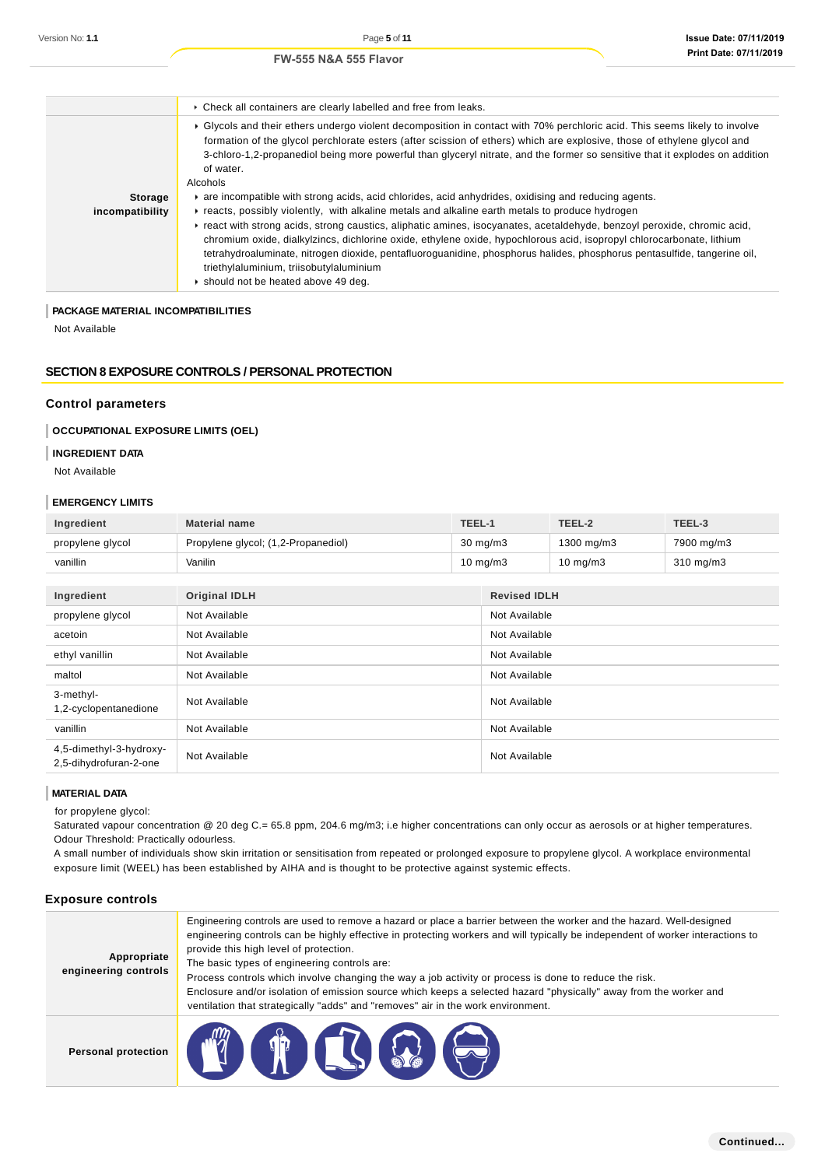|                                   | • Check all containers are clearly labelled and free from leaks.                                                                                                                                                                                                                                                                                                                                                                                                                                                                                                                                                                                                                                                                                                                                                                                                                                                                                                                                                                                   |
|-----------------------------------|----------------------------------------------------------------------------------------------------------------------------------------------------------------------------------------------------------------------------------------------------------------------------------------------------------------------------------------------------------------------------------------------------------------------------------------------------------------------------------------------------------------------------------------------------------------------------------------------------------------------------------------------------------------------------------------------------------------------------------------------------------------------------------------------------------------------------------------------------------------------------------------------------------------------------------------------------------------------------------------------------------------------------------------------------|
| <b>Storage</b><br>incompatibility | ▶ Glycols and their ethers undergo violent decomposition in contact with 70% perchloric acid. This seems likely to involve<br>formation of the glycol perchlorate esters (after scission of ethers) which are explosive, those of ethylene glycol and<br>3-chloro-1,2-propanediol being more powerful than glyceryl nitrate, and the former so sensitive that it explodes on addition<br>of water.<br>Alcohols<br>are incompatible with strong acids, acid chlorides, acid anhydrides, oxidising and reducing agents.<br>reacts, possibly violently, with alkaline metals and alkaline earth metals to produce hydrogen<br>Freact with strong acids, strong caustics, aliphatic amines, isocyanates, acetaldehyde, benzoyl peroxide, chromic acid,<br>chromium oxide, dialkylzincs, dichlorine oxide, ethylene oxide, hypochlorous acid, isopropyl chlorocarbonate, lithium<br>tetrahydroaluminate, nitrogen dioxide, pentafluoroguanidine, phosphorus halides, phosphorus pentasulfide, tangerine oil,<br>triethylaluminium, triisobutylaluminium |
|                                   | Should not be heated above 49 deg.                                                                                                                                                                                                                                                                                                                                                                                                                                                                                                                                                                                                                                                                                                                                                                                                                                                                                                                                                                                                                 |

### **PACKAGE MATERIAL INCOMPATIBILITIES**

Not Available

# **SECTION 8 EXPOSURE CONTROLS / PERSONAL PROTECTION**

#### **Control parameters**

### **OCCUPATIONAL EXPOSURE LIMITS (OEL)**

#### **INGREDIENT DATA**

Not Available

#### **EMERGENCY LIMITS**

| Ingredient                                        | <b>Material name</b>                | TEEL-1 |                     | TEEL-2      | TEEL-3         |  |
|---------------------------------------------------|-------------------------------------|--------|---------------------|-------------|----------------|--|
| propylene glycol                                  | Propylene glycol; (1,2-Propanediol) |        | $30 \text{ mg/m}$   | 1300 mg/m3  | 7900 mg/m3     |  |
| vanillin                                          | Vanilin                             |        | $10 \text{ mg/m}$   | 10 mg/m $3$ | $310$ mg/m $3$ |  |
|                                                   |                                     |        |                     |             |                |  |
| Ingredient                                        | <b>Original IDLH</b>                |        | <b>Revised IDLH</b> |             |                |  |
| propylene glycol                                  | Not Available                       |        | Not Available       |             |                |  |
| acetoin                                           | Not Available                       |        | Not Available       |             |                |  |
| ethyl vanillin                                    | Not Available                       |        | Not Available       |             |                |  |
| maltol                                            | Not Available                       |        | Not Available       |             |                |  |
| 3-methyl-<br>1,2-cyclopentanedione                | Not Available                       |        | Not Available       |             |                |  |
| vanillin                                          | Not Available                       |        | Not Available       |             |                |  |
| 4,5-dimethyl-3-hydroxy-<br>2,5-dihydrofuran-2-one | Not Available                       |        | Not Available       |             |                |  |

#### **MATERIAL DATA**

for propylene glycol:

Saturated vapour concentration @ 20 deg C.= 65.8 ppm, 204.6 mg/m3; i.e higher concentrations can only occur as aerosols or at higher temperatures. Odour Threshold: Practically odourless.

A small number of individuals show skin irritation or sensitisation from repeated or prolonged exposure to propylene glycol. A workplace environmental exposure limit (WEEL) has been established by AIHA and is thought to be protective against systemic effects.

# **Exposure controls**

| Appropriate<br>engineering controls | Engineering controls are used to remove a hazard or place a barrier between the worker and the hazard. Well-designed<br>engineering controls can be highly effective in protecting workers and will typically be independent of worker interactions to<br>provide this high level of protection.<br>The basic types of engineering controls are:<br>Process controls which involve changing the way a job activity or process is done to reduce the risk.<br>Enclosure and/or isolation of emission source which keeps a selected hazard "physically" away from the worker and<br>ventilation that strategically "adds" and "removes" air in the work environment. |
|-------------------------------------|--------------------------------------------------------------------------------------------------------------------------------------------------------------------------------------------------------------------------------------------------------------------------------------------------------------------------------------------------------------------------------------------------------------------------------------------------------------------------------------------------------------------------------------------------------------------------------------------------------------------------------------------------------------------|
| <b>Personal protection</b>          | <b>TOOL</b>                                                                                                                                                                                                                                                                                                                                                                                                                                                                                                                                                                                                                                                        |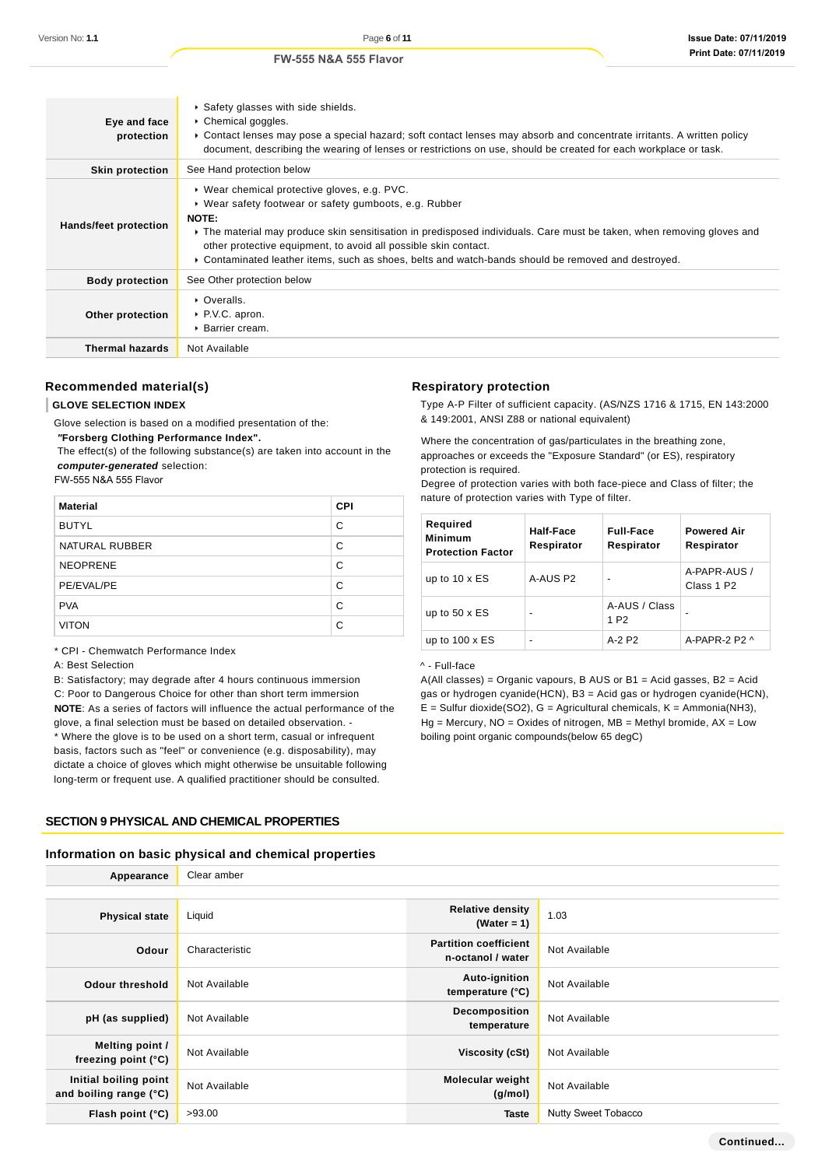| Eye and face<br>protection | Safety glasses with side shields.<br>▶ Chemical goggles.<br>► Contact lenses may pose a special hazard; soft contact lenses may absorb and concentrate irritants. A written policy<br>document, describing the wearing of lenses or restrictions on use, should be created for each workplace or task.                                                                                                              |
|----------------------------|---------------------------------------------------------------------------------------------------------------------------------------------------------------------------------------------------------------------------------------------------------------------------------------------------------------------------------------------------------------------------------------------------------------------|
| <b>Skin protection</b>     | See Hand protection below                                                                                                                                                                                                                                                                                                                                                                                           |
| Hands/feet protection      | ▶ Wear chemical protective gloves, e.g. PVC.<br>▶ Wear safety footwear or safety gumboots, e.g. Rubber<br>NOTE:<br>▶ The material may produce skin sensitisation in predisposed individuals. Care must be taken, when removing gloves and<br>other protective equipment, to avoid all possible skin contact.<br>► Contaminated leather items, such as shoes, belts and watch-bands should be removed and destroyed. |
| <b>Body protection</b>     | See Other protection below                                                                                                                                                                                                                                                                                                                                                                                          |
| Other protection           | • Overalls.<br>▶ P.V.C. apron.<br>▶ Barrier cream.                                                                                                                                                                                                                                                                                                                                                                  |
| <b>Thermal hazards</b>     | Not Available                                                                                                                                                                                                                                                                                                                                                                                                       |

# **Recommended material(s)**

### **GLOVE SELECTION INDEX**

Glove selection is based on a modified presentation of the:

 **"Forsberg Clothing Performance Index".**

 The effect(s) of the following substance(s) are taken into account in the **computer-generated** selection:

FW-555 N&A 555 Flavor

| <b>Material</b> | <b>CPI</b> |
|-----------------|------------|
| <b>BUTYL</b>    | C          |
| NATURAL RUBBER  | C          |
| <b>NEOPRENE</b> | C          |
| PE/EVAL/PE      | C          |
| <b>PVA</b>      | C          |
| <b>VITON</b>    | C          |

\* CPI - Chemwatch Performance Index

A: Best Selection

B: Satisfactory; may degrade after 4 hours continuous immersion C: Poor to Dangerous Choice for other than short term immersion **NOTE**: As a series of factors will influence the actual performance of the glove, a final selection must be based on detailed observation. - \* Where the glove is to be used on a short term, casual or infrequent basis, factors such as "feel" or convenience (e.g. disposability), may dictate a choice of gloves which might otherwise be unsuitable following long-term or frequent use. A qualified practitioner should be consulted.

### **SECTION 9 PHYSICAL AND CHEMICAL PROPERTIES**

### **Information on basic physical and chemical properties**

| Appearance                                      | Clear amber    |                                                   |                            |  |  |  |
|-------------------------------------------------|----------------|---------------------------------------------------|----------------------------|--|--|--|
|                                                 |                |                                                   |                            |  |  |  |
| <b>Physical state</b>                           | Liquid         | <b>Relative density</b><br>(Water = $1$ )         | 1.03                       |  |  |  |
| Odour                                           | Characteristic | <b>Partition coefficient</b><br>n-octanol / water | Not Available              |  |  |  |
| <b>Odour threshold</b>                          | Not Available  | Auto-ignition<br>temperature (°C)                 | Not Available              |  |  |  |
| pH (as supplied)                                | Not Available  | Decomposition<br>temperature                      | Not Available              |  |  |  |
| Melting point /<br>freezing point $(°C)$        | Not Available  | Viscosity (cSt)                                   | Not Available              |  |  |  |
| Initial boiling point<br>and boiling range (°C) | Not Available  | <b>Molecular weight</b><br>(g/mol)                | Not Available              |  |  |  |
| Flash point (°C)                                | >93.00         | <b>Taste</b>                                      | <b>Nutty Sweet Tobacco</b> |  |  |  |

# **Respiratory protection**

Type A-P Filter of sufficient capacity. (AS/NZS 1716 & 1715, EN 143:2000 & 149:2001, ANSI Z88 or national equivalent)

Where the concentration of gas/particulates in the breathing zone, approaches or exceeds the "Exposure Standard" (or ES), respiratory protection is required.

Degree of protection varies with both face-piece and Class of filter; the nature of protection varies with Type of filter.

| Required<br><b>Minimum</b><br><b>Protection Factor</b> | Half-Face<br>Respirator | <b>Full-Face</b><br>Respirator    | <b>Powered Air</b><br>Respirator       |
|--------------------------------------------------------|-------------------------|-----------------------------------|----------------------------------------|
| up to $10 \times ES$                                   | A-AUS P2                |                                   | A-PAPR-AUS /<br>Class 1 P <sub>2</sub> |
| up to $50 \times ES$                                   | $\blacksquare$          | A-AUS / Class<br>1 P <sub>2</sub> |                                        |
| up to $100 \times ES$                                  | $\blacksquare$          | $A-2$ P <sub>2</sub>              | A-PAPR-2 P2 $\land$                    |

## ^ - Full-face

A(All classes) = Organic vapours, B AUS or B1 = Acid gasses, B2 = Acid gas or hydrogen cyanide(HCN), B3 = Acid gas or hydrogen cyanide(HCN),  $E =$  Sulfur dioxide(SO2), G = Agricultural chemicals, K = Ammonia(NH3),  $Hg =$  Mercury,  $NO =$  Oxides of nitrogen,  $MB =$  Methyl bromide,  $AX =$  Low boiling point organic compounds(below 65 degC)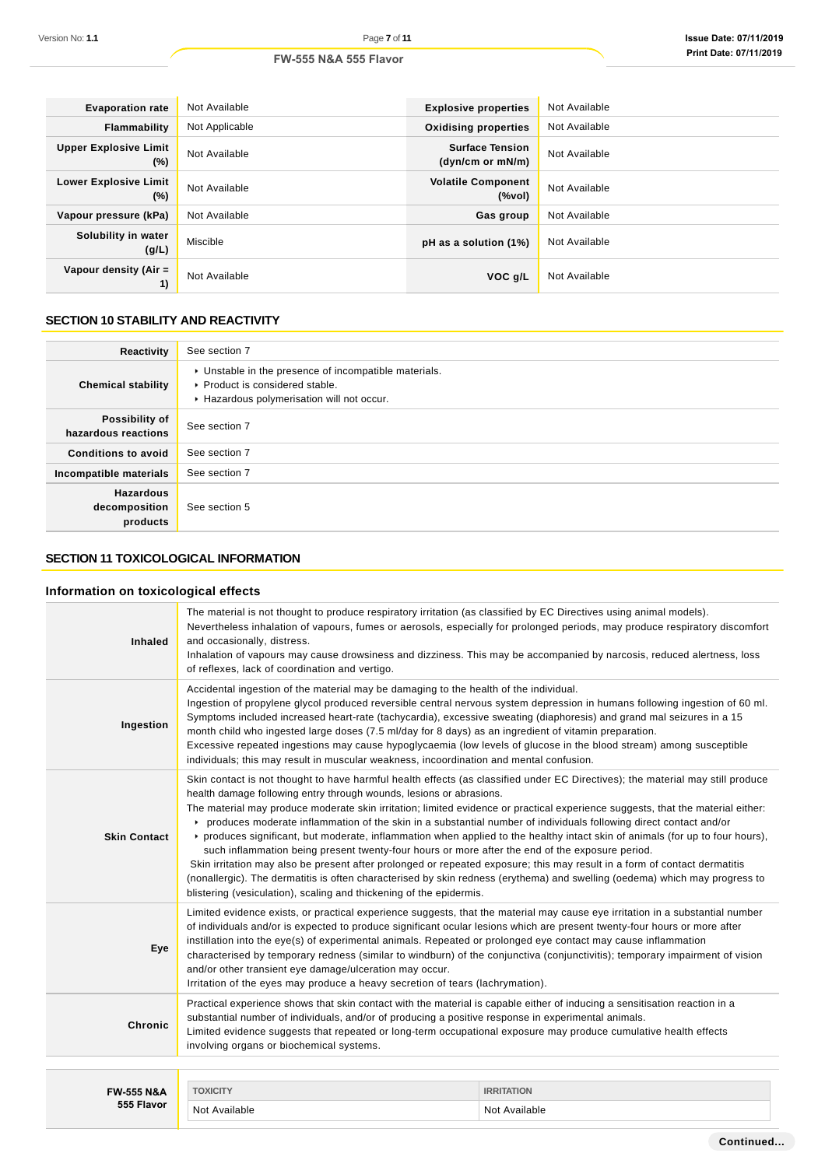| <b>Evaporation rate</b>                | Not Available  | <b>Explosive properties</b>                        | Not Available |
|----------------------------------------|----------------|----------------------------------------------------|---------------|
| <b>Flammability</b>                    | Not Applicable | <b>Oxidising properties</b>                        | Not Available |
| <b>Upper Explosive Limit</b><br>$(\%)$ | Not Available  | <b>Surface Tension</b><br>(dyn/cm or mN/m)         | Not Available |
| <b>Lower Explosive Limit</b><br>$(\%)$ | Not Available  | <b>Volatile Component</b><br>$(% \mathcal{L}_{0})$ | Not Available |
| Vapour pressure (kPa)                  | Not Available  | Gas group                                          | Not Available |
| Solubility in water<br>(g/L)           | Miscible       | pH as a solution (1%)                              | Not Available |
| Vapour density (Air =<br>1)            | Not Available  | VOC g/L                                            | Not Available |

# **SECTION 10 STABILITY AND REACTIVITY**

| Reactivity                                    | See section 7                                                                                                                        |
|-----------------------------------------------|--------------------------------------------------------------------------------------------------------------------------------------|
| <b>Chemical stability</b>                     | • Unstable in the presence of incompatible materials.<br>▶ Product is considered stable.<br>Hazardous polymerisation will not occur. |
| Possibility of<br>hazardous reactions         | See section 7                                                                                                                        |
| <b>Conditions to avoid</b>                    | See section 7                                                                                                                        |
| Incompatible materials                        | See section 7                                                                                                                        |
| <b>Hazardous</b><br>decomposition<br>products | See section 5                                                                                                                        |

# **SECTION 11 TOXICOLOGICAL INFORMATION**

# **Information on toxicological effects**

| <b>Inhaled</b>        | The material is not thought to produce respiratory irritation (as classified by EC Directives using animal models).<br>Nevertheless inhalation of vapours, fumes or aerosols, especially for prolonged periods, may produce respiratory discomfort<br>and occasionally, distress.<br>Inhalation of vapours may cause drowsiness and dizziness. This may be accompanied by narcosis, reduced alertness, loss<br>of reflexes, lack of coordination and vertigo.                                                                                                                                                                                                                                                                                                                                                                                                                                                                                                                                                                        |                   |  |
|-----------------------|--------------------------------------------------------------------------------------------------------------------------------------------------------------------------------------------------------------------------------------------------------------------------------------------------------------------------------------------------------------------------------------------------------------------------------------------------------------------------------------------------------------------------------------------------------------------------------------------------------------------------------------------------------------------------------------------------------------------------------------------------------------------------------------------------------------------------------------------------------------------------------------------------------------------------------------------------------------------------------------------------------------------------------------|-------------------|--|
| Ingestion             | Accidental ingestion of the material may be damaging to the health of the individual.<br>Ingestion of propylene glycol produced reversible central nervous system depression in humans following ingestion of 60 ml.<br>Symptoms included increased heart-rate (tachycardia), excessive sweating (diaphoresis) and grand mal seizures in a 15<br>month child who ingested large doses (7.5 ml/day for 8 days) as an ingredient of vitamin preparation.<br>Excessive repeated ingestions may cause hypoglycaemia (low levels of glucose in the blood stream) among susceptible<br>individuals; this may result in muscular weakness, incoordination and mental confusion.                                                                                                                                                                                                                                                                                                                                                             |                   |  |
| <b>Skin Contact</b>   | Skin contact is not thought to have harmful health effects (as classified under EC Directives); the material may still produce<br>health damage following entry through wounds, lesions or abrasions.<br>The material may produce moderate skin irritation; limited evidence or practical experience suggests, that the material either:<br>produces moderate inflammation of the skin in a substantial number of individuals following direct contact and/or<br>▶ produces significant, but moderate, inflammation when applied to the healthy intact skin of animals (for up to four hours),<br>such inflammation being present twenty-four hours or more after the end of the exposure period.<br>Skin irritation may also be present after prolonged or repeated exposure; this may result in a form of contact dermatitis<br>(nonallergic). The dermatitis is often characterised by skin redness (erythema) and swelling (oedema) which may progress to<br>blistering (vesiculation), scaling and thickening of the epidermis. |                   |  |
| Eye                   | Limited evidence exists, or practical experience suggests, that the material may cause eye irritation in a substantial number<br>of individuals and/or is expected to produce significant ocular lesions which are present twenty-four hours or more after<br>instillation into the eye(s) of experimental animals. Repeated or prolonged eye contact may cause inflammation<br>characterised by temporary redness (similar to windburn) of the conjunctiva (conjunctivitis); temporary impairment of vision<br>and/or other transient eye damage/ulceration may occur.<br>Irritation of the eyes may produce a heavy secretion of tears (lachrymation).                                                                                                                                                                                                                                                                                                                                                                             |                   |  |
| <b>Chronic</b>        | Practical experience shows that skin contact with the material is capable either of inducing a sensitisation reaction in a<br>substantial number of individuals, and/or of producing a positive response in experimental animals.<br>Limited evidence suggests that repeated or long-term occupational exposure may produce cumulative health effects<br>involving organs or biochemical systems.                                                                                                                                                                                                                                                                                                                                                                                                                                                                                                                                                                                                                                    |                   |  |
|                       |                                                                                                                                                                                                                                                                                                                                                                                                                                                                                                                                                                                                                                                                                                                                                                                                                                                                                                                                                                                                                                      |                   |  |
| <b>FW-555 N&amp;A</b> | <b>TOXICITY</b>                                                                                                                                                                                                                                                                                                                                                                                                                                                                                                                                                                                                                                                                                                                                                                                                                                                                                                                                                                                                                      | <b>IRRITATION</b> |  |
| 555 Flavor            | Not Available                                                                                                                                                                                                                                                                                                                                                                                                                                                                                                                                                                                                                                                                                                                                                                                                                                                                                                                                                                                                                        | Not Available     |  |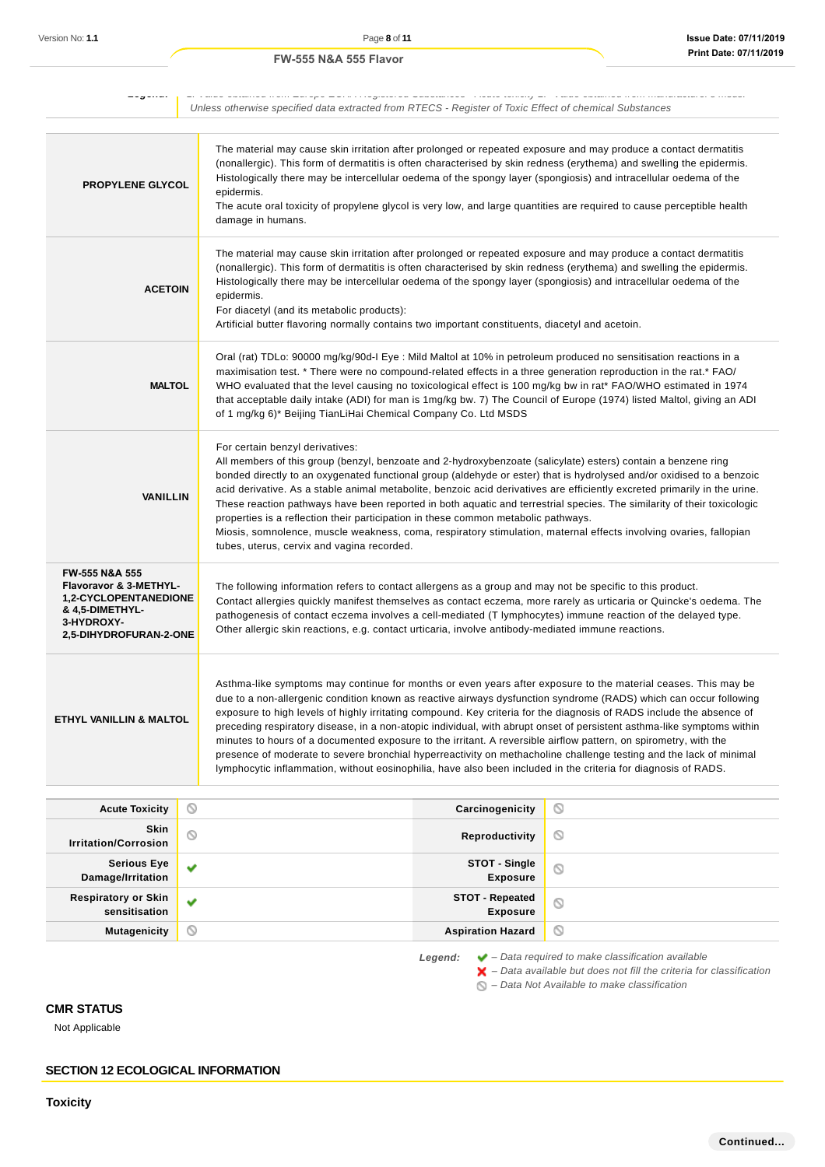| _____                                                                                                                                          |            |                                                                                                                                                                                                                                                                                                                                                                                                                                                                                                                                                                                                                                                                                                                                                                                                                                                  |                                                                                                        |                |
|------------------------------------------------------------------------------------------------------------------------------------------------|------------|--------------------------------------------------------------------------------------------------------------------------------------------------------------------------------------------------------------------------------------------------------------------------------------------------------------------------------------------------------------------------------------------------------------------------------------------------------------------------------------------------------------------------------------------------------------------------------------------------------------------------------------------------------------------------------------------------------------------------------------------------------------------------------------------------------------------------------------------------|--------------------------------------------------------------------------------------------------------|----------------|
|                                                                                                                                                |            |                                                                                                                                                                                                                                                                                                                                                                                                                                                                                                                                                                                                                                                                                                                                                                                                                                                  | Unless otherwise specified data extracted from RTECS - Register of Toxic Effect of chemical Substances |                |
| <b>PROPYLENE GLYCOL</b>                                                                                                                        | epidermis. | The material may cause skin irritation after prolonged or repeated exposure and may produce a contact dermatitis<br>(nonallergic). This form of dermatitis is often characterised by skin redness (erythema) and swelling the epidermis.<br>Histologically there may be intercellular oedema of the spongy layer (spongiosis) and intracellular oedema of the<br>The acute oral toxicity of propylene glycol is very low, and large quantities are required to cause perceptible health<br>damage in humans.                                                                                                                                                                                                                                                                                                                                     |                                                                                                        |                |
| <b>ACETOIN</b>                                                                                                                                 | epidermis. | The material may cause skin irritation after prolonged or repeated exposure and may produce a contact dermatitis<br>(nonallergic). This form of dermatitis is often characterised by skin redness (erythema) and swelling the epidermis.<br>Histologically there may be intercellular oedema of the spongy layer (spongiosis) and intracellular oedema of the<br>For diacetyl (and its metabolic products):<br>Artificial butter flavoring normally contains two important constituents, diacetyl and acetoin.                                                                                                                                                                                                                                                                                                                                   |                                                                                                        |                |
| <b>MALTOL</b>                                                                                                                                  |            | Oral (rat) TDLo: 90000 mg/kg/90d-I Eye : Mild Maltol at 10% in petroleum produced no sensitisation reactions in a<br>maximisation test. * There were no compound-related effects in a three generation reproduction in the rat.* FAO/<br>WHO evaluated that the level causing no toxicological effect is 100 mg/kg bw in rat* FAO/WHO estimated in 1974<br>that acceptable daily intake (ADI) for man is 1mg/kg bw. 7) The Council of Europe (1974) listed Maltol, giving an ADI<br>of 1 mg/kg 6)* Beijing TianLiHai Chemical Company Co. Ltd MSDS                                                                                                                                                                                                                                                                                               |                                                                                                        |                |
| <b>VANILLIN</b>                                                                                                                                |            | For certain benzyl derivatives:<br>All members of this group (benzyl, benzoate and 2-hydroxybenzoate (salicylate) esters) contain a benzene ring<br>bonded directly to an oxygenated functional group (aldehyde or ester) that is hydrolysed and/or oxidised to a benzoic<br>acid derivative. As a stable animal metabolite, benzoic acid derivatives are efficiently excreted primarily in the urine.<br>These reaction pathways have been reported in both aquatic and terrestrial species. The similarity of their toxicologic<br>properties is a reflection their participation in these common metabolic pathways.<br>Miosis, somnolence, muscle weakness, coma, respiratory stimulation, maternal effects involving ovaries, fallopian<br>tubes, uterus, cervix and vagina recorded.                                                       |                                                                                                        |                |
| FW-555 N&A 555<br>Flavoravor & 3-METHYL-<br><b>1,2-CYCLOPENTANEDIONE</b><br><b>&amp; 4,5-DIMETHYL-</b><br>3-HYDROXY-<br>2,5-DIHYDROFURAN-2-ONE |            | The following information refers to contact allergens as a group and may not be specific to this product.<br>Contact allergies quickly manifest themselves as contact eczema, more rarely as urticaria or Quincke's oedema. The<br>pathogenesis of contact eczema involves a cell-mediated (T lymphocytes) immune reaction of the delayed type.<br>Other allergic skin reactions, e.g. contact urticaria, involve antibody-mediated immune reactions.                                                                                                                                                                                                                                                                                                                                                                                            |                                                                                                        |                |
| ETHYL VANILLIN & MALTOL                                                                                                                        |            | Asthma-like symptoms may continue for months or even years after exposure to the material ceases. This may be<br>due to a non-allergenic condition known as reactive airways dysfunction syndrome (RADS) which can occur following<br>exposure to high levels of highly irritating compound. Key criteria for the diagnosis of RADS include the absence of<br>preceding respiratory disease, in a non-atopic individual, with abrupt onset of persistent asthma-like symptoms within<br>minutes to hours of a documented exposure to the irritant. A reversible airflow pattern, on spirometry, with the<br>presence of moderate to severe bronchial hyperreactivity on methacholine challenge testing and the lack of minimal<br>lymphocytic inflammation, without eosinophilia, have also been included in the criteria for diagnosis of RADS. |                                                                                                        |                |
| <b>Acute Toxicity</b>                                                                                                                          | $\circ$    |                                                                                                                                                                                                                                                                                                                                                                                                                                                                                                                                                                                                                                                                                                                                                                                                                                                  | Carcinogenicity                                                                                        | O              |
| Skin<br><b>Irritation/Corrosion</b>                                                                                                            | $\circ$    |                                                                                                                                                                                                                                                                                                                                                                                                                                                                                                                                                                                                                                                                                                                                                                                                                                                  | Reproductivity                                                                                         | O              |
| <b>Serious Eye</b>                                                                                                                             | v          |                                                                                                                                                                                                                                                                                                                                                                                                                                                                                                                                                                                                                                                                                                                                                                                                                                                  | STOT - Single                                                                                          | $\odot$        |
| Damage/Irritation                                                                                                                              |            |                                                                                                                                                                                                                                                                                                                                                                                                                                                                                                                                                                                                                                                                                                                                                                                                                                                  | <b>Exposure</b>                                                                                        |                |
| <b>Respiratory or Skin</b><br>sensitisation                                                                                                    | v          |                                                                                                                                                                                                                                                                                                                                                                                                                                                                                                                                                                                                                                                                                                                                                                                                                                                  | <b>STOT - Repeated</b><br><b>Exposure</b>                                                              | $\circledcirc$ |
| <b>Mutagenicity</b>                                                                                                                            | ◙          |                                                                                                                                                                                                                                                                                                                                                                                                                                                                                                                                                                                                                                                                                                                                                                                                                                                  | <b>Aspiration Hazard</b>                                                                               | O              |

**Legend:** ◆ - Data required to make classification available

– Data available but does not fill the criteria for classification

– Data Not Available to make classification

# **CMR STATUS**

Not Applicable

**SECTION 12 ECOLOGICAL INFORMATION**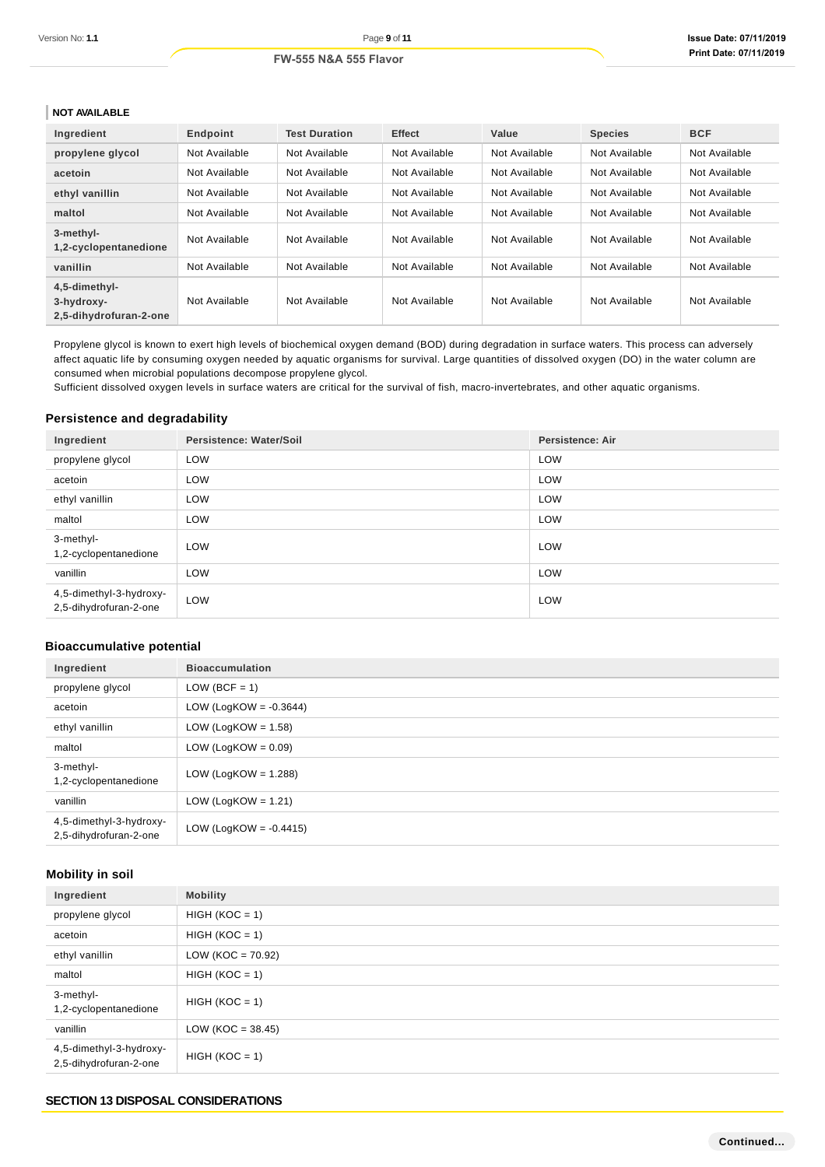## **NOT AVAILABLE**

| Ingredient                                            | Endpoint      | <b>Test Duration</b> | <b>Effect</b> | Value         | <b>Species</b> | <b>BCF</b>    |
|-------------------------------------------------------|---------------|----------------------|---------------|---------------|----------------|---------------|
| propylene glycol                                      | Not Available | Not Available        | Not Available | Not Available | Not Available  | Not Available |
| acetoin                                               | Not Available | Not Available        | Not Available | Not Available | Not Available  | Not Available |
| ethyl vanillin                                        | Not Available | Not Available        | Not Available | Not Available | Not Available  | Not Available |
| maltol                                                | Not Available | Not Available        | Not Available | Not Available | Not Available  | Not Available |
| 3-methyl-<br>1,2-cyclopentanedione                    | Not Available | Not Available        | Not Available | Not Available | Not Available  | Not Available |
| vanillin                                              | Not Available | Not Available        | Not Available | Not Available | Not Available  | Not Available |
| 4,5-dimethyl-<br>3-hydroxy-<br>2.5-dihydrofuran-2-one | Not Available | Not Available        | Not Available | Not Available | Not Available  | Not Available |

Propylene glycol is known to exert high levels of biochemical oxygen demand (BOD) during degradation in surface waters. This process can adversely affect aquatic life by consuming oxygen needed by aquatic organisms for survival. Large quantities of dissolved oxygen (DO) in the water column are consumed when microbial populations decompose propylene glycol.

Sufficient dissolved oxygen levels in surface waters are critical for the survival of fish, macro-invertebrates, and other aquatic organisms.

### **Persistence and degradability**

| Ingredient                                        | Persistence: Water/Soil | <b>Persistence: Air</b> |
|---------------------------------------------------|-------------------------|-------------------------|
| propylene glycol                                  | LOW                     | LOW                     |
| acetoin                                           | LOW                     | LOW                     |
| ethyl vanillin                                    | LOW                     | LOW                     |
| maltol                                            | LOW                     | LOW                     |
| 3-methyl-<br>1,2-cyclopentanedione                | LOW                     | LOW                     |
| vanillin                                          | LOW                     | LOW                     |
| 4,5-dimethyl-3-hydroxy-<br>2,5-dihydrofuran-2-one | LOW                     | LOW                     |

# **Bioaccumulative potential**

| Ingredient                                        | <b>Bioaccumulation</b>    |
|---------------------------------------------------|---------------------------|
| propylene glycol                                  | $LOW (BCF = 1)$           |
| acetoin                                           | LOW (LogKOW = $-0.3644$ ) |
| ethyl vanillin                                    | LOW (LogKOW = $1.58$ )    |
| maltol                                            | LOW (LogKOW = $0.09$ )    |
| 3-methyl-<br>1,2-cyclopentanedione                | LOW (LogKOW = $1.288$ )   |
| vanillin                                          | LOW (LogKOW = $1.21$ )    |
| 4,5-dimethyl-3-hydroxy-<br>2,5-dihydrofuran-2-one | LOW (LogKOW = $-0.4415$ ) |

# **Mobility in soil**

| Ingredient                                        | <b>Mobility</b>     |
|---------------------------------------------------|---------------------|
| propylene glycol                                  | $HIGH (KOC = 1)$    |
| acetoin                                           | $HIGH (KOC = 1)$    |
| ethyl vanillin                                    | $LOW (KOC = 70.92)$ |
| maltol                                            | $HIGH (KOC = 1)$    |
| 3-methyl-<br>1,2-cyclopentanedione                | $HIGH (KOC = 1)$    |
| vanillin                                          | $LOW (KOC = 38.45)$ |
| 4,5-dimethyl-3-hydroxy-<br>2,5-dihydrofuran-2-one | $HIGH (KOC = 1)$    |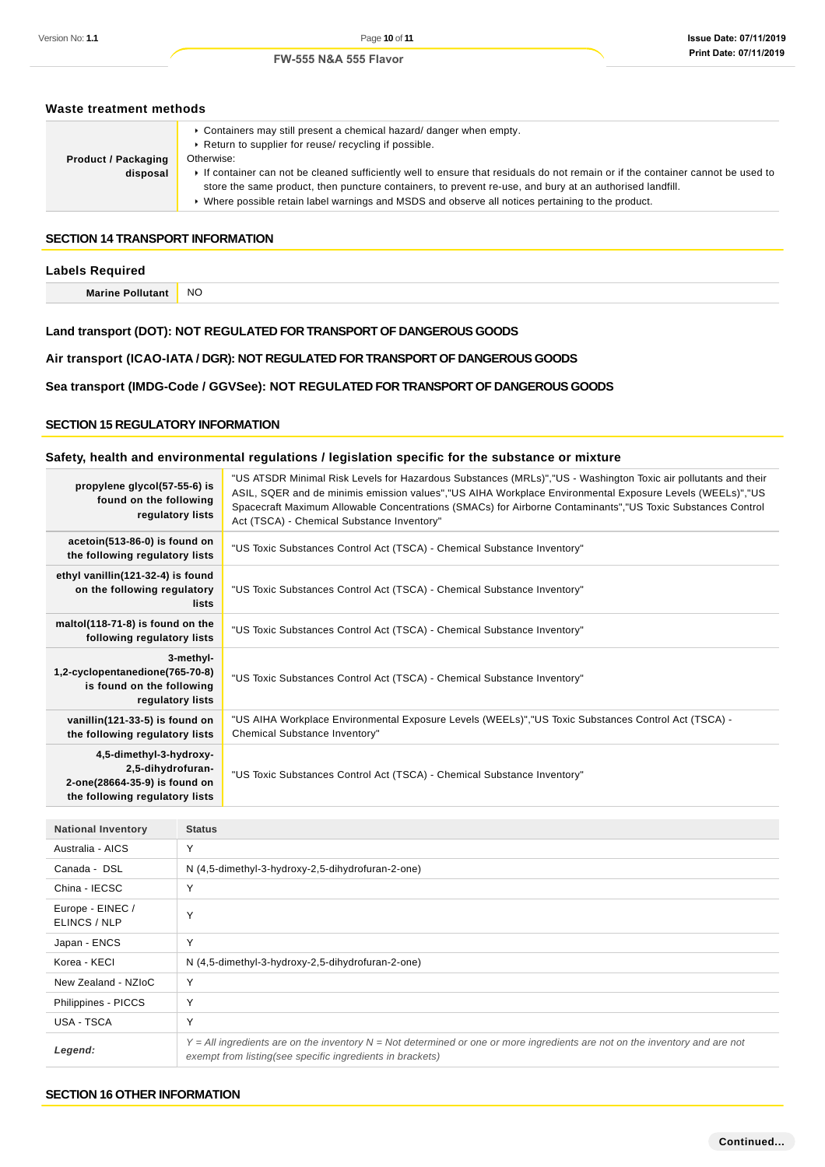#### **Issue Date: 07/11/2019 Print Date: 07/11/2019**

# **Waste treatment methods Product / Packaging disposal** Containers may still present a chemical hazard/ danger when empty. Return to supplier for reuse/ recycling if possible. Otherwise: If container can not be cleaned sufficiently well to ensure that residuals do not remain or if the container cannot be used to store the same product, then puncture containers, to prevent re-use, and bury at an authorised landfill. Where possible retain label warnings and MSDS and observe all notices pertaining to the product. **SECTION 14 TRANSPORT INFORMATION Labels Required Marine Pollutant** NO **Land transport (DOT): NOT REGULATED FOR TRANSPORT OF DANGEROUS GOODS Air transport (ICAO-IATA / DGR): NOT REGULATED FOR TRANSPORT OF DANGEROUS GOODS Sea transport (IMDG-Code / GGVSee): NOT REGULATED FOR TRANSPORT OF DANGEROUS GOODS SECTION 15 REGULATORY INFORMATION Safety, health and environmental regulations / legislation specific for the substance or mixture propylene glycol(57-55-6) is found on the following regulatory lists** "US ATSDR Minimal Risk Levels for Hazardous Substances (MRLs)","US - Washington Toxic air pollutants and their ASIL, SQER and de minimis emission values","US AIHA Workplace Environmental Exposure Levels (WEELs)","US Spacecraft Maximum Allowable Concentrations (SMACs) for Airborne Contaminants","US Toxic Substances Control Act (TSCA) - Chemical Substance Inventory" **acetoin(513-86-0) is found on the following regulatory lists** "US Toxic Substances Control Act (TSCA) - Chemical Substance Inventory" **ethyl vanillin(121-32-4) is found on the following regulatory lists** "US Toxic Substances Control Act (TSCA) - Chemical Substance Inventory" **maltol(118-71-8) is found on the following regulatory lists** "US Toxic Substances Control Act (TSCA) - Chemical Substance Inventory" **3-methyl-1,2-cyclopentanedione(765-70-8) is found on the following regulatory lists** "US Toxic Substances Control Act (TSCA) - Chemical Substance Inventory" **vanillin(121-33-5) is found on the following regulatory lists** "US AIHA Workplace Environmental Exposure Levels (WEELs)","US Toxic Substances Control Act (TSCA) - Chemical Substance Inventory" **4,5-dimethyl-3-hydroxy-2,5-dihydrofuran-2-one(28664-35-9) is found on the following regulatory lists** "US Toxic Substances Control Act (TSCA) - Chemical Substance Inventory" **National Inventory Status** Australia - AICS Y Canada - DSL N (4,5-dimethyl-3-hydroxy-2,5-dihydrofuran-2-one) China - IECSC Y Europe - EINEC / ELINCS / NLP <sup>Y</sup> Japan - ENCS Y Korea - KECI N (4,5-dimethyl-3-hydroxy-2,5-dihydrofuran-2-one) New Zealand - NZIoC Y Philippines - PICCS | Y USA - TSCA Y **Legend:**  $Y = All$  ingredients are on the inventory  $N = Not$  determined or one or more ingredients are not on the inventory and are not exempt from listing(see specific ingredients in brackets)

### **SECTION 16 OTHER INFORMATION**

#### **Continued...**